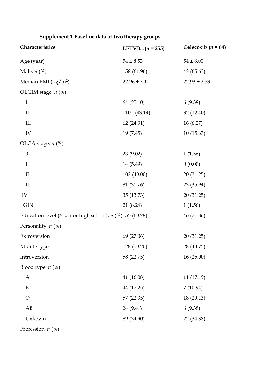| Characteristics                                                 | LETVB <sub>12</sub> ( <i>n</i> = 255) | Celecoxib ( $n = 64$ ) |
|-----------------------------------------------------------------|---------------------------------------|------------------------|
| Age (year)                                                      | $54 \pm 8.53$                         | $54 \pm 8.00$          |
| Male, $n$ (%)                                                   | 158 (61.96)                           | 42 (65.63)             |
| Median BMI $(kg/m^2)$                                           | $22.96 \pm 3.10$                      | $22.93 \pm 2.53$       |
| OLGIM stage, $n$ (%)                                            |                                       |                        |
| $\mathbf I$                                                     | 64 (25.10)                            | 6(9.38)                |
| $\mathbf{I}$                                                    | 110- $(43.14)$                        | 32 (12.40)             |
| $\mathop{\rm III}\nolimits$                                     | 62 (24.31)                            | 16(6.27)               |
| ${\rm IV}$                                                      | 19 (7.45)                             | 10(15.63)              |
| OLGA stage, $n$ (%)                                             |                                       |                        |
| $\boldsymbol{0}$                                                | 23(9.02)                              | 1(1.56)                |
| $\mathbf I$                                                     | 14 (5.49)                             | 0(0.00)                |
| $\mathbf{I}$                                                    | 102 (40.00)                           | 20(31.25)              |
| III                                                             | 81 (31.76)                            | 23 (35.94)             |
| <b>IIV</b>                                                      | 35 (13.73)                            | 20(31.25)              |
| $_{\rm LGIN}$                                                   | 21(8.24)                              | 1(1.56)                |
| Education level ( $\ge$ senior high school), $n$ (%)155 (60.78) |                                       | 46 (71.86)             |
| Personality, $n$ (%)                                            |                                       |                        |
| Extroversion                                                    | 69 (27.06)                            | 20 (31.25)             |
| Middle type                                                     | 128 (50.20)                           | 28 (43.75)             |
| Introversion                                                    | 58 (22.75)                            | 16(25.00)              |
| Blood type, $n$ (%)                                             |                                       |                        |
| $\boldsymbol{A}$                                                | 41 (16.08)                            | 11 (17.19)             |
| $\, {\bf B}$                                                    | 44 (17.25)                            | 7(10.94)               |
| $\bigcirc$                                                      | 57 (22.35)                            | 18 (29.13)             |
| $\mathbf{A}\mathbf{B}$                                          | 24 (9.41)                             | 6(9.38)                |
| Unkown                                                          | 89 (34.90)                            | 22 (34.38)             |
| Profession, $n$ (%)                                             |                                       |                        |

**Supplement 1 Baseline data of two therapy groups**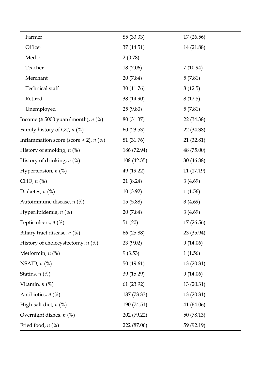| Farmer                                         | 85 (33.33)  | 17(26.56)  |
|------------------------------------------------|-------------|------------|
| Officer                                        | 37(14.51)   | 14 (21.88) |
| Medic                                          | 2(0.78)     |            |
| Teacher                                        | 18 (7.06)   | 7(10.94)   |
| Merchant                                       | 20(7.84)    | 5(7.81)    |
| Technical staff                                | 30 (11.76)  | 8(12.5)    |
| Retired                                        | 38 (14.90)  | 8(12.5)    |
| Unemployed                                     | 25(9.80)    | 5(7.81)    |
| Income ( $\geq 5000$ yuan/month), <i>n</i> (%) | 80 (31.37)  | 22 (34.38) |
| Family history of GC, $n$ (%)                  | 60(23.53)   | 22 (34.38) |
| Inflammation score (score $>$ 2), $n$ (%)      | 81 (31.76)  | 21 (32.81) |
| History of smoking, $n$ (%)                    | 186 (72.94) | 48 (75.00) |
| History of drinking, $n$ (%)                   | 108 (42.35) | 30 (46.88) |
| Hypertension, $n$ (%)                          | 49 (19.22)  | 11 (17.19) |
| CHD, $n$ $%$                                   | 21(8.24)    | 3(4.69)    |
| Diabetes, $n$ (%)                              | 10(3.92)    | 1(1.56)    |
| Autoimmune disease, $n$ (%)                    | 15(5.88)    | 3(4.69)    |
| Hyperlipidemia, $n$ (%)                        | 20 (7.84)   | 3(4.69)    |
| Peptic ulcers, $n$ (%)                         | 51(20)      | 17(26.56)  |
| Biliary tract disease, $n$ (%)                 | 66 (25.88)  | 23 (35.94) |
| History of cholecystectomy, $n$ (%)            | 23(9.02)    | 9(14.06)   |
| Metformin, $n$ (%)                             | 9(3.53)     | 1(1.56)    |
| NSAID, $n$ $(\%)$                              | 50(19.61)   | 13(20.31)  |
| Statins, $n$ (%)                               | 39 (15.29)  | 9(14.06)   |
| Vitamin, $n$ $(\%)$                            | 61(23.92)   | 13(20.31)  |
| Antibiotics, $n$ (%)                           | 187 (73.33) | 13(20.31)  |
| High-salt diet, $n$ (%)                        | 190 (74.51) | 41 (64.06) |
| Overnight dishes, $n$ (%)                      | 202 (79.22) | 50 (78.13) |
| Fried food, $n$ (%)                            | 222 (87.06) | 59 (92.19) |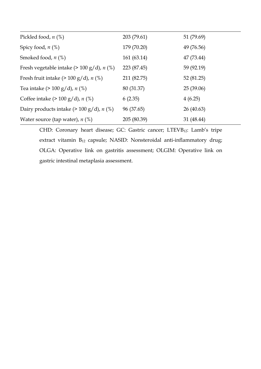| Pickled food, $n$ (%)                                   | 203 (79.61) | 51 (79.69) |
|---------------------------------------------------------|-------------|------------|
| Spicy food, $n$ (%)                                     | 179 (70.20) | 49 (76.56) |
| Smoked food, $n$ $(\%)$                                 | 161 (63.14) | 47 (73.44) |
| Fresh vegetable intake $(> 100 \text{ g/d})$ , n $(\%)$ | 223 (87.45) | 59 (92.19) |
| Fresh fruit intake $(> 100 \text{ g/d})$ , n $(\%)$     | 211 (82.75) | 52 (81.25) |
| Tea intake (> 100 g/d), $n$ (%)                         | 80 (31.37)  | 25(39.06)  |
| Coffee intake $(> 100 \text{ g/d})$ , n $(\%)$          | 6(2.35)     | 4(6.25)    |
| Dairy products intake $(> 100 \text{ g/d})$ , n $(\%)$  | 96 (37.65)  | 26 (40.63) |
| Water source (tap water), $n$ (%)                       | 205 (80.39) | 31 (48.44) |

CHD: Coronary heart disease; GC: Gastric cancer; LTEVB12: Lamb's tripe extract vitamin B<sub>12</sub> capsule; NASID: Nonsteroidal anti-inflammatory drug; OLGA: Operative link on gastritis assessment; OLGIM: Operative link on gastric intestinal metaplasia assessment.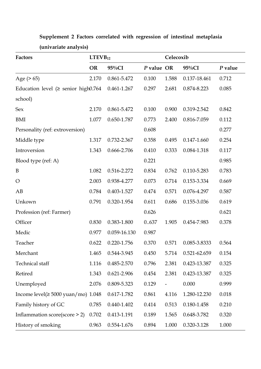| Factors                                          | LTEVB <sub>12</sub> |              |            | Celecoxib         |                 |         |  |
|--------------------------------------------------|---------------------|--------------|------------|-------------------|-----------------|---------|--|
|                                                  | <b>OR</b>           | $95\%CI$     | P value OR |                   | 95%CI           | P value |  |
| Age $(> 65)$                                     | 2.170               | 0.861-5.472  | 0.100      | 1.588             | 0.137-18.461    | 0.712   |  |
| Education level ( $\ge$ senior high $0.764$      |                     | 0.461-1.267  | 0.297      | 2.681             | 0.874-8.223     | 0.085   |  |
| school)                                          |                     |              |            |                   |                 |         |  |
| Sex                                              | 2.170               | 0.861-5.472  | 0.100      | 0.900             | 0.319-2.542     | 0.842   |  |
| BMI                                              | 1.077               | 0.650-1.787  | 0.773      | 2.400             | 0.816-7.059     | 0.112   |  |
| Personality (ref: extroversion)                  |                     |              | 0.608      |                   |                 | 0.277   |  |
| Middle type                                      | 1.317               | 0.732-2.367  | 0.358      | 0.495             | 0.147-1.660     | 0.254   |  |
| Introversion                                     | 1.343               | 0.666-2.706  | 0.410      | 0.333             | 0.084-1.318     | 0.117   |  |
| Blood type (ref: A)                              |                     |              | 0.221      |                   |                 | 0.985   |  |
| $\, {\bf B}$                                     | 1.082               | 0.516-2.272  | 0.834      | 0.762             | 0.110-5.283     | 0.783   |  |
| $\bigcirc$                                       | 2.003               | 0.938-4.277  | 0.073      | 0.714             | 0.153-3.334     | 0.669   |  |
| AB                                               | 0.784               | 0.403-1.527  | 0.474      | 0.571             | 0.076-4.297     | 0.587   |  |
| Unkown                                           | 0.791               | 0.320-1.954  | 0.611      | 0.686             | 0.155-3.036     | 0.619   |  |
| Profession (ref: Farmer)                         |                     |              | 0.626      |                   |                 | 0.621   |  |
| Officer                                          | 0.830               | 0.383-1.800  | 0637       | 1.905             | 0.454-7.983     | 0.378   |  |
| Medic                                            | 0.977               | 0.059-16.130 | 0.987      |                   |                 |         |  |
| Teacher                                          | 0.622               | 0.220-1.756  | 0.370      | 0.571             | 0.085-3.8333    | 0.564   |  |
| Merchant                                         | 1.465               | 0.544-3.945  | 0.450      | 5.714             | 0.521-62.659    | 0.154   |  |
| Technical staff                                  | 1.116               | 0.485-2.570  | 0.796      | 2.381             | 0.423-13.387    | 0.325   |  |
| Retired                                          | 1.343               | 0.621-2.906  | 0.454      | 2.381             | 0.423-13.387    | 0.325   |  |
| Unemployed                                       | 2.076               | 0.809-5.323  | 0.129      | $\qquad \qquad -$ | 0.000           | 0.999   |  |
| Income $level(\geq 5000 \text{ yuan/mol})$ 1.048 |                     | 0.617-1.782  | 0.861      | 4.116             | 1.280-12.230    | 0.018   |  |
| Family history of GC                             | 0.785               | 0.440-1.402  | 0.414      | 0.513             | $0.180 - 1.458$ | 0.210   |  |
| Inflammation score(score $>$ 2)                  | 0.702               | 0.413-1.191  | 0.189      | 1.565             | 0.648-3.782     | 0.320   |  |
| History of smoking                               | 0.963               | 0.554-1.676  | 0.894      | 1.000             | 0.320-3.128     | 1.000   |  |

**Supplement 2 Factors correlated with regression of intestinal metaplasia (univariate analysis)**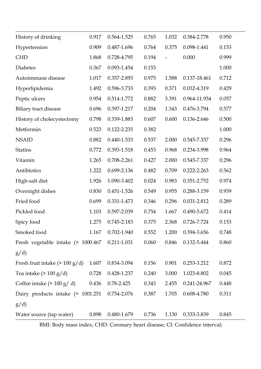| History of drinking                         | 0.917 | 0.564-1.525 | 0.765 | 1.032 | 0.384-2.778  | 0.950 |
|---------------------------------------------|-------|-------------|-------|-------|--------------|-------|
| Hypertension                                | 0.909 | 0.487-1.696 | 0.764 | 0.375 | 0.098-1.441  | 0.153 |
| <b>CHD</b>                                  | 1.868 | 0.728-4.795 | 0.194 |       | 0.000        | 0.999 |
| <b>Diabetes</b>                             | 0.367 | 0.093-1.454 | 0.153 |       |              | 1.000 |
| Autoimmune disease                          | 1.017 | 0.357-2.893 | 0.975 | 1.588 | 0.137-18.461 | 0.712 |
| Hyperlipidemia                              | 1.492 | 0.596-3.733 | 0.393 | 0.371 | 0.032-4.319  | 0.429 |
| Peptic ulcers                               | 0.954 | 0.514-1.772 | 0.882 | 3.391 | 0.964-11.934 | 0.057 |
| <b>Biliary</b> tract disease                | 0.696 | 0.397-1.217 | 0.204 | 1.343 | 0.476-3.794  | 0.577 |
| History of cholecystectomy                  | 0.798 | 0.339-1.883 | 0.607 | 0.600 | 0.136-2.646  | 0.500 |
| Metformin                                   | 0.523 | 0.122-2.235 | 0.382 |       |              | 1.000 |
| <b>NSAID</b>                                | 0.882 | 0.440-1.533 | 0.537 | 2.000 | 0.545-7.337  | 0.296 |
| <b>Statins</b>                              | 0.772 | 0.393-1.518 | 0.453 | 0.968 | 0.234-3.998  | 0.964 |
| Vitamin                                     | 1.265 | 0.708-2.261 | 0.427 | 2.000 | 0.545-7.337  | 0.296 |
| Antibiotics                                 | 1.222 | 0.699-2.136 | 0.482 | 0.709 | 0.222-2.263  | 0.562 |
| High-salt diet                              | 1.926 | 1.090-3.402 | 0.024 | 0.983 | 0.351-2.752  | 0.974 |
| Overnight dishes                            | 0.830 | 0.451-1.526 | 0.549 | 0.955 | 0.288-3.159  | 0.939 |
| Fried food                                  | 0.699 | 0.331-1.473 | 0.346 | 0.296 | 0.031-2.812  | 0.289 |
| Pickled food                                | 1.103 | 0.597-2.039 | 0.754 | 1.667 | 0.490-5.672  | 0.414 |
| Spicy food                                  | 1.275 | 0.745-2.183 | 0.375 | 2.368 | 0.726-7.724  | 0.153 |
| Smoked food                                 | 1.167 | 0.702-1.940 | 0.552 | 1.200 | 0.394-3.656  | 0.748 |
| Fresh vegetable intake (> 1000.467          |       | 0.211-1.031 | 0.060 | 0.846 | 0.132-5.444  | 0.860 |
| g/d)                                        |       |             |       |       |              |       |
| Fresh fruit intake $(> 100 \text{ g/d})$    | 1.607 | 0.834-3.094 | 0.156 | 0.901 | 0.253-3.212  | 0.872 |
| Tea intake ( $> 100$ g/d)                   | 0.728 | 0.428-1.237 | 0.240 | 3.000 | 1.023-8.802  | 0.045 |
| Coffee intake $(> 100 \text{ g}/\text{ d})$ | 0.436 | 0.78-2.425  | 0.343 | 2.455 | 0.241-24.967 | 0.448 |
| Dairy products intake (> 1001.251           |       | 0.754-2.076 | 0.387 | 1.705 | 0.608-4.780  | 0.311 |
| g/d)                                        |       |             |       |       |              |       |
| Water source (tap water)                    | 0.898 | 0.480-1.679 | 0.736 | 1.130 | 0.333-3.839  | 0.845 |

BMI: Body mass index; CHD: Coronary heart disease; CI: Confidence interval;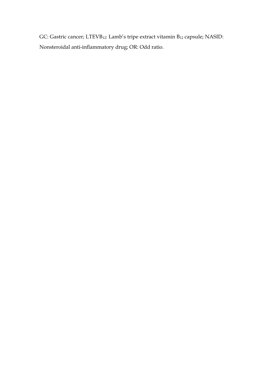GC: Gastric cancer; LTEVB<sub>12</sub>: Lamb's tripe extract vitamin B<sub>12</sub> capsule; NASID: Nonsteroidal anti-inflammatory drug; OR: Odd ratio.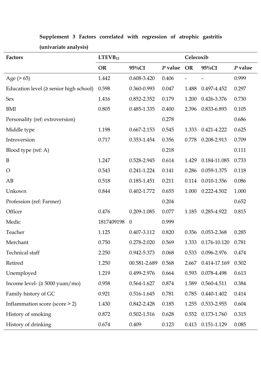| Factors                                        | LTEVB <sub>12</sub> |                |           |           | Celecoxib    |         |  |  |
|------------------------------------------------|---------------------|----------------|-----------|-----------|--------------|---------|--|--|
|                                                | <b>OR</b>           | $95\%CI$       | $P$ value | <b>OR</b> | 95%CI        | P value |  |  |
| Age $(> 65)$                                   | 1.442               | 0.608-3.420    | 0.406     |           |              | 0.999   |  |  |
| Education level $(\geq$ senior high school)    | 0.598               | 0.360-0.993    | 0.047     | 1.488     | 0.497-4.452  | 0.297   |  |  |
| Sex                                            | 1.416               | 0.852-2.352    | 0.179     | 1.200     | 0.426-3.376  | 0.730   |  |  |
| BMI                                            | 0.805               | 0.485-1.335    | 0.400     | 2.396     | 0.833-6.893  | 0.105   |  |  |
| Personality (ref: extroversion)                |                     |                | 0.278     |           |              | 0.686   |  |  |
| Middle type                                    | 1.198               | 0.667-2.153    | 0.545     | 1.333     | 0.421-4.222  | 0.625   |  |  |
| Introversion                                   | 0.717               | 0.353-1.454    | 0.356     | 0.778     | 0.208-2.913  | 0.709   |  |  |
| Blood type (ref: A)                            |                     |                | 0.218     |           |              | 0.111   |  |  |
| B                                              | 1.247               | 0.528-2.945    | 0.614     | 1.429     | 0.184-11.085 | 0.733   |  |  |
| $\overline{O}$                                 | 0.543               | 0.241-1.224    | 0.141     | 0.286     | 0.059-1.375  | 0.118   |  |  |
| AB                                             | 0.518               | 0.185-1.451    | 0.211     | 0.114     | 0.010-1.356  | 0.086   |  |  |
| Unkown                                         | 0.844               | 0.402-1.772    | 0.655     | 1.000     | 0.222-4.502  | 1.000   |  |  |
| Profession (ref: Farmer)                       |                     |                | 0.204     |           |              | 0.652   |  |  |
| Officer                                        | 0.476               | 0.209-1.085    | 0.077     | 1.185     | 0.285-4.922  | 0.815   |  |  |
| Medic                                          | 1817409198          | $\overline{0}$ | 0.999     |           |              |         |  |  |
| Teacher                                        | 1.125               | 0.407-3.112    | 0.820     | 0.356     | 0.053-2.368  | 0.285   |  |  |
| Merchant                                       | 0.750               | 0.278-2.020    | 0.569     | 1.333     | 0.176-10.120 | 0.781   |  |  |
| Technical staff                                | 2.250               | 0.942-5.373    | 0.068     | 0.533     | 0.096-2.976  | 0.474   |  |  |
| Retired                                        | 1.250               | 00.581-2.689   | 0.568     | 2.667     | 0.414-17.169 | 0.302   |  |  |
| Unemployed                                     | 1.219               | 0.499-2.976    | 0.664     | 0.593     | 0.078-4.498  | 0.613   |  |  |
| Income level- $( \geq 5000 \text{ yuan/mol} )$ | 0.958               | 0.564-1.627    | 0.874     | 1.589     | 0.560-4.511  | 0.384   |  |  |
| Family history of GC                           | 0.921               | 0.516-1.645    | 0.781     | 0.785     | 0.440-1.402  | 0.414   |  |  |
| Inflammation score (score > 2)                 | 1.430               | 0.842-2.428    | 0.185     | 1.255     | 0.533-2.955  | 0.604   |  |  |
| History of smoking                             | 0.872               | 0.502-1.516    | 0.628     | 0.552     | 0.173-1.760  | 0.315   |  |  |
| History of drinking                            | 0.674               | 0.409          | 0.123     | 0.413     | 0.151-1.129  | 0.085   |  |  |

**Supplement 3 Factors correlated with regression of atrophic gastritis (univariate analysis)**